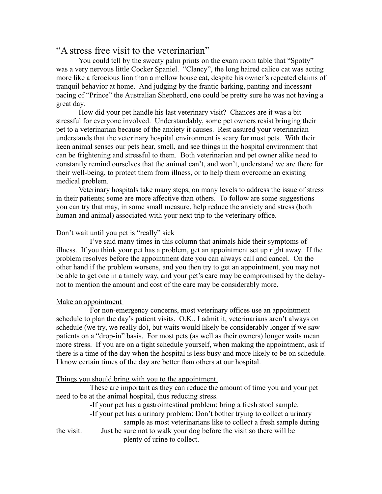# "A stress free visit to the veterinarian"

You could tell by the sweaty palm prints on the exam room table that "Spotty" was a very nervous little Cocker Spaniel. "Clancy", the long haired calico cat was acting more like a ferocious lion than a mellow house cat, despite his owner's repeated claims of tranquil behavior at home. And judging by the frantic barking, panting and incessant pacing of "Prince" the Australian Shepherd, one could be pretty sure he was not having a great day.

How did your pet handle his last veterinary visit? Chances are it was a bit stressful for everyone involved. Understandably, some pet owners resist bringing their pet to a veterinarian because of the anxiety it causes. Rest assured your veterinarian understands that the veterinary hospital environment is scary for most pets. With their keen animal senses our pets hear, smell, and see things in the hospital environment that can be frightening and stressful to them. Both veterinarian and pet owner alike need to constantly remind ourselves that the animal can't, and won't, understand we are there for their well-being, to protect them from illness, or to help them overcome an existing medical problem.

Veterinary hospitals take many steps, on many levels to address the issue of stress in their patients; some are more affective than others. To follow are some suggestions you can try that may, in some small measure, help reduce the anxiety and stress (both human and animal) associated with your next trip to the veterinary office.

## Don't wait until you pet is "really" sick

I've said many times in this column that animals hide their symptoms of illness. If you think your pet has a problem, get an appointment set up right away. If the problem resolves before the appointment date you can always call and cancel. On the other hand if the problem worsens, and you then try to get an appointment, you may not be able to get one in a timely way, and your pet's care may be compromised by the delaynot to mention the amount and cost of the care may be considerably more.

### Make an appointment

For non-emergency concerns, most veterinary offices use an appointment schedule to plan the day's patient visits. O.K., I admit it, veterinarians aren't always on schedule (we try, we really do), but waits would likely be considerably longer if we saw patients on a "drop-in" basis. For most pets (as well as their owners) longer waits mean more stress. If you are on a tight schedule yourself, when making the appointment, ask if there is a time of the day when the hospital is less busy and more likely to be on schedule. I know certain times of the day are better than others at our hospital.

### Things you should bring with you to the appointment.

These are important as they can reduce the amount of time you and your pet need to be at the animal hospital, thus reducing stress.

-If your pet has a gastrointestinal problem: bring a fresh stool sample.

-If your pet has a urinary problem: Don't bother trying to collect a urinary

sample as most veterinarians like to collect a fresh sample during the visit. Just be sure not to walk your dog before the visit so there will be

plenty of urine to collect.